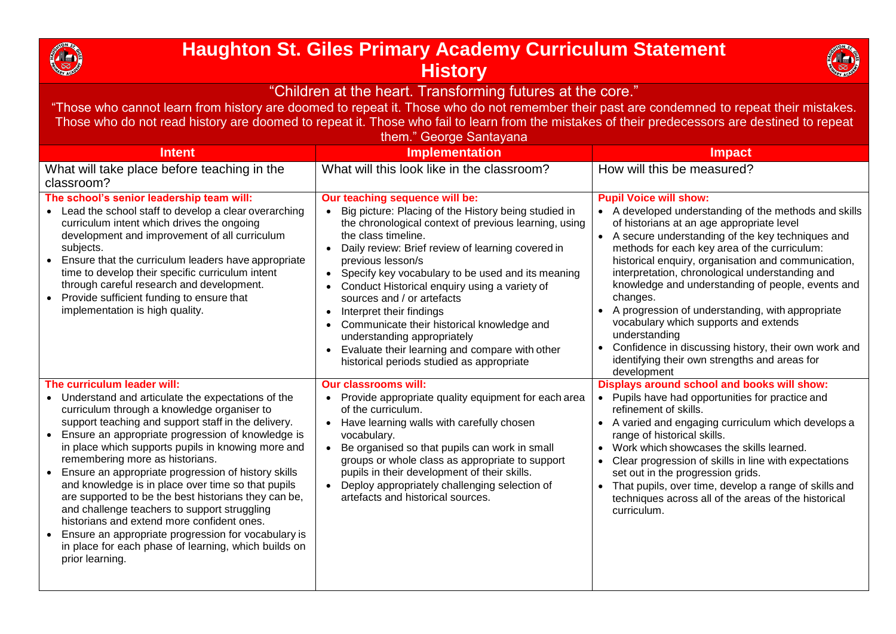

## **Haughton St. Giles Primary Academy Curriculum Statement History**



"Children at the heart. Transforming futures at the core."

"Those who cannot learn from history are doomed to repeat it. Those who do not remember their past are condemned to repeat their mistakes. Those who do not read history are doomed to repeat it. Those who fail to learn from the mistakes of their predecessors are destined to repeat them." George Santay

| thom. Occupe Januayana                                                                                                                                                                                                                                                                                                                                                                                                                                                                                                                                                                                                                                                                                                                                                |                                                                                                                                                                                                                                                                                                                                                                                                                                                                                                                                                                                                                                       |                                                                                                                                                                                                                                                                                                                                                                                                                                                                                                                                                                                                                                                                         |  |
|-----------------------------------------------------------------------------------------------------------------------------------------------------------------------------------------------------------------------------------------------------------------------------------------------------------------------------------------------------------------------------------------------------------------------------------------------------------------------------------------------------------------------------------------------------------------------------------------------------------------------------------------------------------------------------------------------------------------------------------------------------------------------|---------------------------------------------------------------------------------------------------------------------------------------------------------------------------------------------------------------------------------------------------------------------------------------------------------------------------------------------------------------------------------------------------------------------------------------------------------------------------------------------------------------------------------------------------------------------------------------------------------------------------------------|-------------------------------------------------------------------------------------------------------------------------------------------------------------------------------------------------------------------------------------------------------------------------------------------------------------------------------------------------------------------------------------------------------------------------------------------------------------------------------------------------------------------------------------------------------------------------------------------------------------------------------------------------------------------------|--|
| <b>Intent</b>                                                                                                                                                                                                                                                                                                                                                                                                                                                                                                                                                                                                                                                                                                                                                         | <b>Implementation</b>                                                                                                                                                                                                                                                                                                                                                                                                                                                                                                                                                                                                                 | <b>Impact</b>                                                                                                                                                                                                                                                                                                                                                                                                                                                                                                                                                                                                                                                           |  |
| What will take place before teaching in the<br>classroom?                                                                                                                                                                                                                                                                                                                                                                                                                                                                                                                                                                                                                                                                                                             | What will this look like in the classroom?                                                                                                                                                                                                                                                                                                                                                                                                                                                                                                                                                                                            | How will this be measured?                                                                                                                                                                                                                                                                                                                                                                                                                                                                                                                                                                                                                                              |  |
| The school's senior leadership team will:<br>• Lead the school staff to develop a clear overarching<br>curriculum intent which drives the ongoing<br>development and improvement of all curriculum<br>subjects.<br>• Ensure that the curriculum leaders have appropriate<br>time to develop their specific curriculum intent<br>through careful research and development.<br>• Provide sufficient funding to ensure that<br>implementation is high quality.                                                                                                                                                                                                                                                                                                           | Our teaching sequence will be:<br>Big picture: Placing of the History being studied in<br>the chronological context of previous learning, using<br>the class timeline.<br>Daily review: Brief review of learning covered in<br>$\bullet$<br>previous lesson/s<br>• Specify key vocabulary to be used and its meaning<br>Conduct Historical enquiry using a variety of<br>$\bullet$<br>sources and / or artefacts<br>Interpret their findings<br>$\bullet$<br>Communicate their historical knowledge and<br>understanding appropriately<br>Evaluate their learning and compare with other<br>historical periods studied as appropriate | <b>Pupil Voice will show:</b><br>• A developed understanding of the methods and skills<br>of historians at an age appropriate level<br>• A secure understanding of the key techniques and<br>methods for each key area of the curriculum:<br>historical enquiry, organisation and communication,<br>interpretation, chronological understanding and<br>knowledge and understanding of people, events and<br>changes.<br>A progression of understanding, with appropriate<br>vocabulary which supports and extends<br>understanding<br>Confidence in discussing history, their own work and<br>$\bullet$<br>identifying their own strengths and areas for<br>development |  |
| The curriculum leader will:<br>• Understand and articulate the expectations of the<br>curriculum through a knowledge organiser to<br>support teaching and support staff in the delivery.<br>Ensure an appropriate progression of knowledge is<br>$\bullet$<br>in place which supports pupils in knowing more and<br>remembering more as historians.<br>Ensure an appropriate progression of history skills<br>$\bullet$<br>and knowledge is in place over time so that pupils<br>are supported to be the best historians they can be,<br>and challenge teachers to support struggling<br>historians and extend more confident ones.<br>Ensure an appropriate progression for vocabulary is<br>in place for each phase of learning, which builds on<br>prior learning. | <b>Our classrooms will:</b><br>Provide appropriate quality equipment for each area<br>of the curriculum.<br>Have learning walls with carefully chosen<br>$\bullet$<br>vocabulary.<br>Be organised so that pupils can work in small<br>$\bullet$<br>groups or whole class as appropriate to support<br>pupils in their development of their skills.<br>Deploy appropriately challenging selection of<br>$\bullet$<br>artefacts and historical sources.                                                                                                                                                                                 | Displays around school and books will show:<br>• Pupils have had opportunities for practice and<br>refinement of skills.<br>A varied and engaging curriculum which develops a<br>range of historical skills.<br>Work which showcases the skills learned.<br>$\bullet$<br>Clear progression of skills in line with expectations<br>$\bullet$<br>set out in the progression grids.<br>That pupils, over time, develop a range of skills and<br>$\bullet$<br>techniques across all of the areas of the historical<br>curriculum.                                                                                                                                           |  |